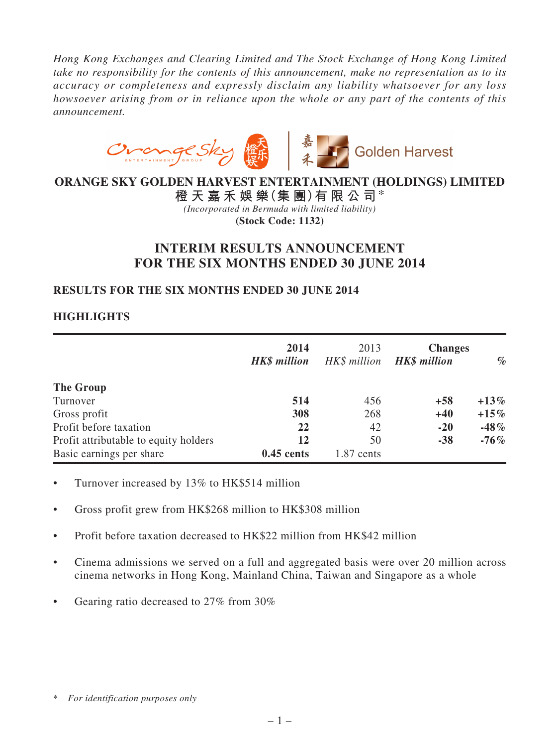*Hong Kong Exchanges and Clearing Limited and The Stock Exchange of Hong Kong Limited take no responsibility for the contents of this announcement, make no representation as to its accuracy or completeness and expressly disclaim any liability whatsoever for any loss howsoever arising from or in reliance upon the whole or any part of the contents of this announcement.*



# **ORANGE SKY GOLDEN HARVEST ENTERTAINMENT (HOLDINGS) LIMITED**

**橙 天 嘉 禾 娛 樂(集 團)有 限 公 司**\* *(Incorporated in Bermuda with limited liability)* **(Stock Code: 1132)**

# **INTERIM RESULTS ANNOUNCEMENT FOR THE SIX MONTHS ENDED 30 JUNE 2014**

# **RESULTS FOR THE SIX MONTHS ENDED 30 JUNE 2014**

# **HIGHLIGHTS**

|                                       | 2014<br><b>HK\$</b> million | 2013<br>HK\$ million | <b>Changes</b><br><b>HK\$</b> million | $\%$    |
|---------------------------------------|-----------------------------|----------------------|---------------------------------------|---------|
| The Group                             |                             |                      |                                       |         |
| Turnover                              | 514                         | 456                  | $+58$                                 | $+13\%$ |
| Gross profit                          | 308                         | 268                  | $+40$                                 | $+15\%$ |
| Profit before taxation                | 22                          | 42                   | $-20$                                 | $-48%$  |
| Profit attributable to equity holders | 12                          | 50                   | $-38$                                 | $-76\%$ |
| Basic earnings per share              | $0.45$ cents                | $1.87$ cents         |                                       |         |

- Turnover increased by 13% to HK\$514 million
- Gross profit grew from HK\$268 million to HK\$308 million
- • Profit before taxation decreased to HK\$22 million from HK\$42 million
- Cinema admissions we served on a full and aggregated basis were over 20 million across cinema networks in Hong Kong, Mainland China, Taiwan and Singapore as a whole
- Gearing ratio decreased to 27% from 30%

<sup>\*</sup> *For identification purposes only*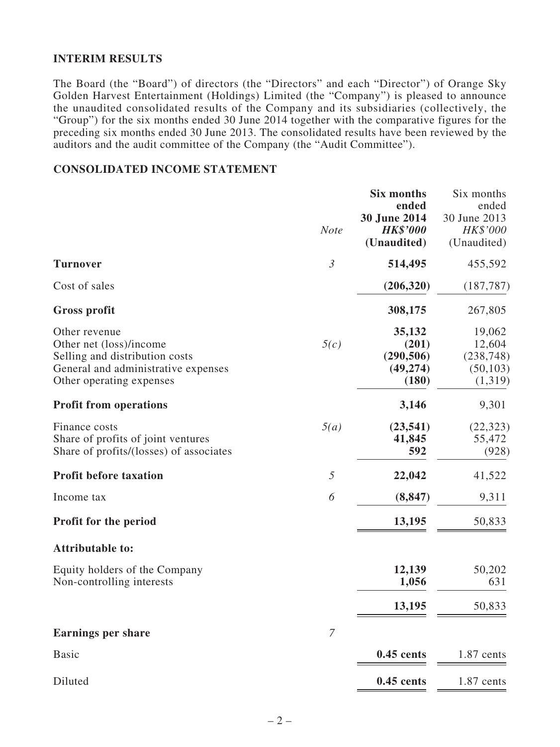### **INTERIM RESULTS**

The Board (the "Board") of directors (the "Directors" and each "Director") of Orange Sky Golden Harvest Entertainment (Holdings) Limited (the "Company") is pleased to announce the unaudited consolidated results of the Company and its subsidiaries (collectively, the "Group") for the six months ended 30 June 2014 together with the comparative figures for the preceding six months ended 30 June 2013. The consolidated results have been reviewed by the auditors and the audit committee of the Company (the "Audit Committee").

## **CONSOLIDATED INCOME STATEMENT**

|                                                                                                                                               | <b>Note</b>    | <b>Six months</b><br>ended<br>30 June 2014<br><b>HK\$'000</b><br>(Unaudited) | Six months<br>ended<br>30 June 2013<br>HK\$'000<br>(Unaudited) |
|-----------------------------------------------------------------------------------------------------------------------------------------------|----------------|------------------------------------------------------------------------------|----------------------------------------------------------------|
| <b>Turnover</b>                                                                                                                               | $\mathfrak{Z}$ | 514,495                                                                      | 455,592                                                        |
| Cost of sales                                                                                                                                 |                | (206, 320)                                                                   | (187, 787)                                                     |
| <b>Gross profit</b>                                                                                                                           |                | 308,175                                                                      | 267,805                                                        |
| Other revenue<br>Other net (loss)/income<br>Selling and distribution costs<br>General and administrative expenses<br>Other operating expenses | 5(c)           | 35,132<br>(201)<br>(290, 506)<br>(49, 274)<br>(180)                          | 19,062<br>12,604<br>(238, 748)<br>(50, 103)<br>(1,319)         |
| <b>Profit from operations</b>                                                                                                                 |                | 3,146                                                                        | 9,301                                                          |
| Finance costs<br>Share of profits of joint ventures<br>Share of profits/(losses) of associates                                                | 5(a)           | (23, 541)<br>41,845<br>592                                                   | (22, 323)<br>55,472<br>(928)                                   |
| <b>Profit before taxation</b>                                                                                                                 | $\mathfrak{I}$ | 22,042                                                                       | 41,522                                                         |
| Income tax                                                                                                                                    | 6              | (8, 847)                                                                     | 9,311                                                          |
| <b>Profit for the period</b>                                                                                                                  |                | 13,195                                                                       | 50,833                                                         |
| <b>Attributable to:</b>                                                                                                                       |                |                                                                              |                                                                |
| Equity holders of the Company<br>Non-controlling interests                                                                                    |                | 12,139<br>1,056                                                              | 50,202<br>631                                                  |
|                                                                                                                                               |                | 13,195                                                                       | 50,833                                                         |
| <b>Earnings per share</b>                                                                                                                     | $\overline{7}$ |                                                                              |                                                                |
| <b>Basic</b>                                                                                                                                  |                | $0.45$ cents                                                                 | 1.87 cents                                                     |
| Diluted                                                                                                                                       |                | $0.45$ cents                                                                 | 1.87 cents                                                     |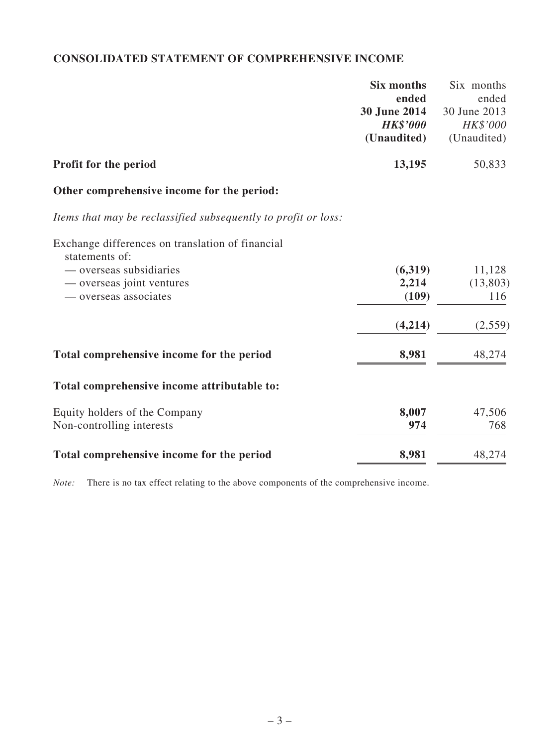# **CONSOLIDATED STATEMENT OF COMPREHENSIVE INCOME**

|                                                                | <b>Six months</b> | Six months          |
|----------------------------------------------------------------|-------------------|---------------------|
|                                                                | ended             | ended               |
|                                                                | 30 June 2014      | 30 June 2013        |
|                                                                | <b>HK\$'000</b>   | HK\$'000            |
|                                                                | (Unaudited)       | (Unaudited)         |
| Profit for the period                                          | 13,195            | 50,833              |
| Other comprehensive income for the period:                     |                   |                     |
| Items that may be reclassified subsequently to profit or loss: |                   |                     |
| Exchange differences on translation of financial               |                   |                     |
| statements of:                                                 |                   |                     |
| — overseas subsidiaries                                        | (6,319)<br>2,214  | 11,128<br>(13, 803) |
| — overseas joint ventures<br>— overseas associates             | (109)             | 116                 |
|                                                                |                   |                     |
|                                                                | (4,214)           | (2,559)             |
| Total comprehensive income for the period                      | 8,981             | 48,274              |
| Total comprehensive income attributable to:                    |                   |                     |
| Equity holders of the Company                                  | 8,007             | 47,506              |
| Non-controlling interests                                      | 974               | 768                 |
| Total comprehensive income for the period                      | 8,981             | 48,274              |

*Note:* There is no tax effect relating to the above components of the comprehensive income.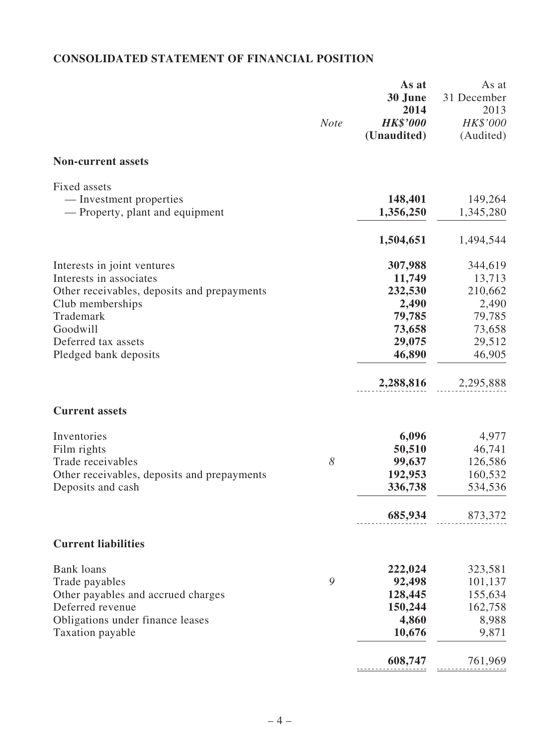# **CONSOLIDATED STATEMENT OF FINANCIAL POSITION**

|                                                            | <b>Note</b> | As at<br>30 June<br>2014<br><b>HK\$'000</b><br>(Unaudited) | As at<br>31 December<br>2013<br>HK\$'000<br>(Audited) |
|------------------------------------------------------------|-------------|------------------------------------------------------------|-------------------------------------------------------|
| <b>Non-current assets</b>                                  |             |                                                            |                                                       |
| Fixed assets                                               |             |                                                            |                                                       |
| — Investment properties<br>— Property, plant and equipment |             | 148,401<br>1,356,250                                       | 149,264<br>1,345,280                                  |
|                                                            |             | 1,504,651                                                  | 1,494,544                                             |
| Interests in joint ventures                                |             | 307,988                                                    | 344,619                                               |
| Interests in associates                                    |             | 11,749                                                     | 13,713                                                |
| Other receivables, deposits and prepayments                |             | 232,530                                                    | 210,662                                               |
| Club memberships                                           |             | 2,490                                                      | 2,490                                                 |
| Trademark<br>Goodwill                                      |             | 79,785                                                     | 79,785                                                |
| Deferred tax assets                                        |             | 73,658                                                     | 73,658                                                |
| Pledged bank deposits                                      |             | 29,075<br>46,890                                           | 29,512<br>46,905                                      |
|                                                            |             | 2,288,816                                                  | 2,295,888                                             |
| <b>Current assets</b>                                      |             |                                                            |                                                       |
| Inventories                                                |             | 6,096                                                      | 4,977                                                 |
| Film rights                                                |             | 50,510                                                     | 46,741                                                |
| Trade receivables                                          | 8           | 99,637                                                     | 126,586                                               |
| Other receivables, deposits and prepayments                |             | 192,953                                                    | 160,532                                               |
| Deposits and cash                                          |             | 336,738                                                    | 534,536                                               |
|                                                            |             | 685,934                                                    | 873,372                                               |
| <b>Current liabilities</b>                                 |             |                                                            |                                                       |
| <b>Bank loans</b>                                          |             | 222,024                                                    | 323,581                                               |
| Trade payables                                             | 9           | 92,498                                                     | 101,137                                               |
| Other payables and accrued charges                         |             | 128,445                                                    | 155,634                                               |
| Deferred revenue                                           |             | 150,244                                                    | 162,758                                               |
| Obligations under finance leases                           |             | 4,860                                                      | 8,988                                                 |
| Taxation payable                                           |             | 10,676                                                     | 9,871                                                 |
|                                                            |             | 608,747                                                    | 761,969                                               |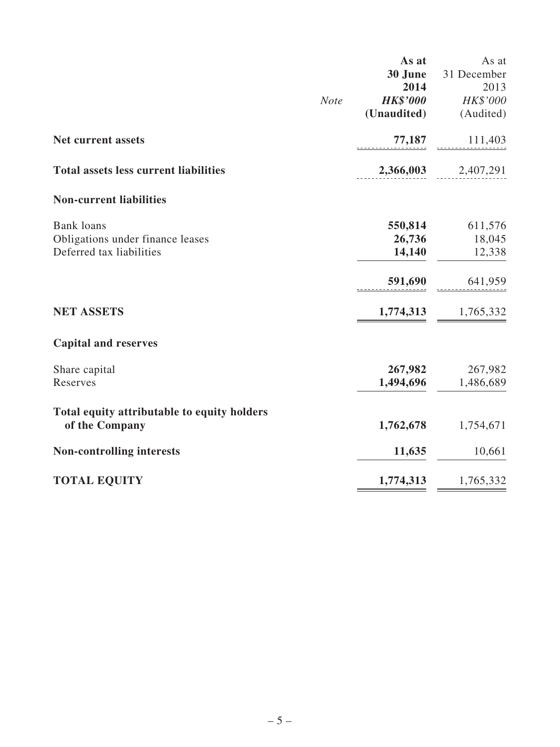|                                              |             | As at           | As at               |
|----------------------------------------------|-------------|-----------------|---------------------|
|                                              |             | 30 June         | 31 December         |
|                                              |             | 2014            | 2013                |
|                                              | <b>Note</b> | <b>HK\$'000</b> | HK\$'000            |
|                                              |             | (Unaudited)     | (Audited)           |
| <b>Net current assets</b>                    |             | 77,187          | 111,403             |
| <b>Total assets less current liabilities</b> |             |                 | 2,366,003 2,407,291 |
| <b>Non-current liabilities</b>               |             |                 |                     |
| <b>Bank</b> loans                            |             | 550,814         | 611,576             |
| Obligations under finance leases             |             | 26,736          | 18,045              |
| Deferred tax liabilities                     |             | 14,140          | 12,338              |
|                                              |             | 591,690         | 641,959             |
| <b>NET ASSETS</b>                            |             | 1,774,313       | 1,765,332           |
| <b>Capital and reserves</b>                  |             |                 |                     |
| Share capital                                |             | 267,982         | 267,982             |
| Reserves                                     |             | 1,494,696       | 1,486,689           |
| Total equity attributable to equity holders  |             |                 |                     |
| of the Company                               |             | 1,762,678       | 1,754,671           |
| <b>Non-controlling interests</b>             |             | 11,635          | 10,661              |
| <b>TOTAL EQUITY</b>                          |             | 1,774,313       | 1,765,332           |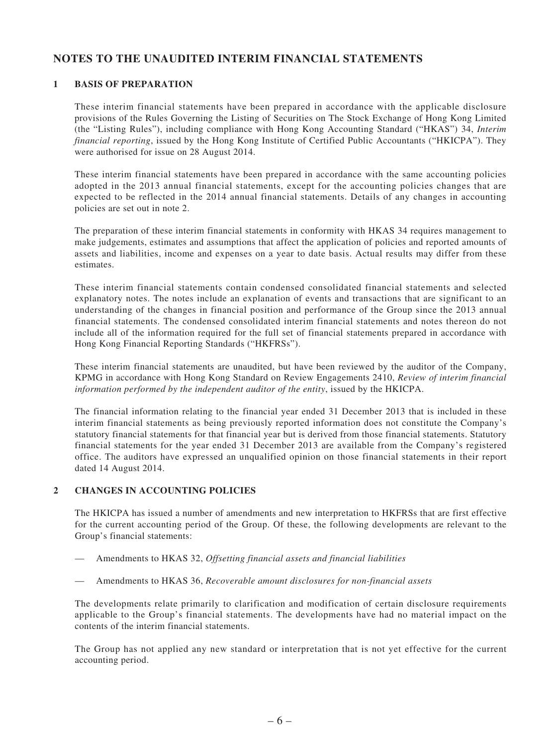## **NOTES TO THE UNAUDITED INTERIM FINANCIAL STATEMENTS**

#### **1 BASIS OF PREPARATION**

These interim financial statements have been prepared in accordance with the applicable disclosure provisions of the Rules Governing the Listing of Securities on The Stock Exchange of Hong Kong Limited (the "Listing Rules"), including compliance with Hong Kong Accounting Standard ("HKAS") 34, *Interim financial reporting*, issued by the Hong Kong Institute of Certified Public Accountants ("HKICPA"). They were authorised for issue on 28 August 2014.

These interim financial statements have been prepared in accordance with the same accounting policies adopted in the 2013 annual financial statements, except for the accounting policies changes that are expected to be reflected in the 2014 annual financial statements. Details of any changes in accounting policies are set out in note 2.

The preparation of these interim financial statements in conformity with HKAS 34 requires management to make judgements, estimates and assumptions that affect the application of policies and reported amounts of assets and liabilities, income and expenses on a year to date basis. Actual results may differ from these estimates.

These interim financial statements contain condensed consolidated financial statements and selected explanatory notes. The notes include an explanation of events and transactions that are significant to an understanding of the changes in financial position and performance of the Group since the 2013 annual financial statements. The condensed consolidated interim financial statements and notes thereon do not include all of the information required for the full set of financial statements prepared in accordance with Hong Kong Financial Reporting Standards ("HKFRSs").

These interim financial statements are unaudited, but have been reviewed by the auditor of the Company, KPMG in accordance with Hong Kong Standard on Review Engagements 2410, *Review of interim financial information performed by the independent auditor of the entity*, issued by the HKICPA.

The financial information relating to the financial year ended 31 December 2013 that is included in these interim financial statements as being previously reported information does not constitute the Company's statutory financial statements for that financial year but is derived from those financial statements. Statutory financial statements for the year ended 31 December 2013 are available from the Company's registered office. The auditors have expressed an unqualified opinion on those financial statements in their report dated 14 August 2014.

#### **2 CHANGES IN ACCOUNTING POLICIES**

The HKICPA has issued a number of amendments and new interpretation to HKFRSs that are first effective for the current accounting period of the Group. Of these, the following developments are relevant to the Group's financial statements:

Amendments to HKAS 32, *Offsetting financial assets and financial liabilities* 

Amendments to HKAS 36, *Recoverable amount disclosures for non-financial assets* 

The developments relate primarily to clarification and modification of certain disclosure requirements applicable to the Group's financial statements. The developments have had no material impact on the contents of the interim financial statements.

The Group has not applied any new standard or interpretation that is not yet effective for the current accounting period.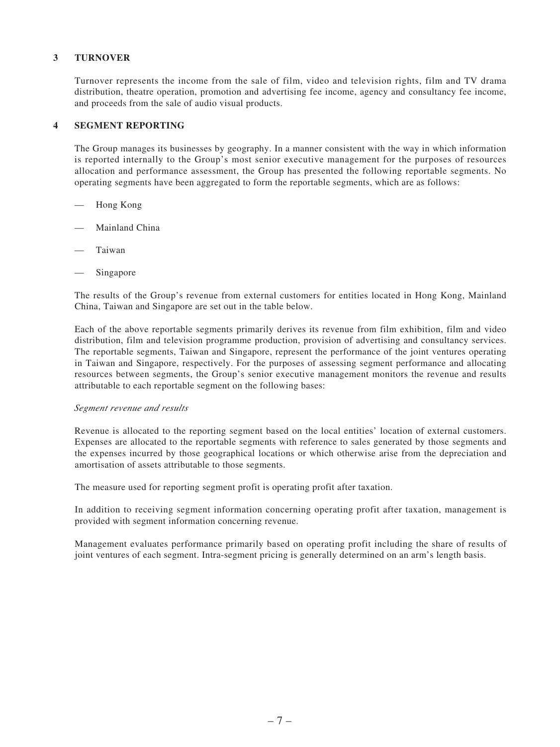#### **3 TURNOVER**

Turnover represents the income from the sale of film, video and television rights, film and TV drama distribution, theatre operation, promotion and advertising fee income, agency and consultancy fee income, and proceeds from the sale of audio visual products.

#### **4 SEGMENT REPORTING**

The Group manages its businesses by geography. In a manner consistent with the way in which information is reported internally to the Group's most senior executive management for the purposes of resources allocation and performance assessment, the Group has presented the following reportable segments. No operating segments have been aggregated to form the reportable segments, which are as follows:

- Hong Kong
- Mainland China
- **Taiwan**
- Singapore

The results of the Group's revenue from external customers for entities located in Hong Kong, Mainland China, Taiwan and Singapore are set out in the table below.

Each of the above reportable segments primarily derives its revenue from film exhibition, film and video distribution, film and television programme production, provision of advertising and consultancy services. The reportable segments, Taiwan and Singapore, represent the performance of the joint ventures operating in Taiwan and Singapore, respectively. For the purposes of assessing segment performance and allocating resources between segments, the Group's senior executive management monitors the revenue and results attributable to each reportable segment on the following bases:

#### *Segment revenue and results*

Revenue is allocated to the reporting segment based on the local entities' location of external customers. Expenses are allocated to the reportable segments with reference to sales generated by those segments and the expenses incurred by those geographical locations or which otherwise arise from the depreciation and amortisation of assets attributable to those segments.

The measure used for reporting segment profit is operating profit after taxation.

In addition to receiving segment information concerning operating profit after taxation, management is provided with segment information concerning revenue.

Management evaluates performance primarily based on operating profit including the share of results of joint ventures of each segment. Intra-segment pricing is generally determined on an arm's length basis.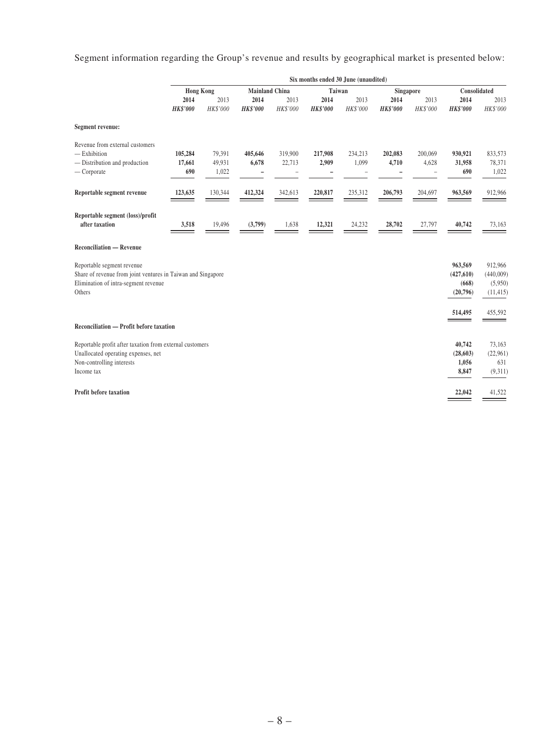Segment information regarding the Group's revenue and results by geographical market is presented below:

|                                                                                                                                              | Six months ended 30 June (unaudited) |                           |                                           |                   |                         |                  |                         |                  |                                            |                                              |
|----------------------------------------------------------------------------------------------------------------------------------------------|--------------------------------------|---------------------------|-------------------------------------------|-------------------|-------------------------|------------------|-------------------------|------------------|--------------------------------------------|----------------------------------------------|
|                                                                                                                                              |                                      |                           | <b>Hong Kong</b><br><b>Mainland China</b> |                   | Taiwan                  |                  | Singapore               |                  | Consolidated                               |                                              |
|                                                                                                                                              | 2014<br><b>HK\$'000</b>              | 2013<br>HK\$'000          | 2014<br><b>HK\$'000</b>                   | 2013<br>HK\$'000  | 2014<br><b>HK\$'000</b> | 2013<br>HK\$'000 | 2014<br><b>HK\$'000</b> | 2013<br>HK\$'000 | 2014<br><b>HK\$'000</b>                    | 2013<br>HK\$'000                             |
| Segment revenue:                                                                                                                             |                                      |                           |                                           |                   |                         |                  |                         |                  |                                            |                                              |
| Revenue from external customers<br>$-$ Exhibition<br>- Distribution and production<br>— Corporate                                            | 105,284<br>17,661<br>690             | 79,391<br>49,931<br>1,022 | 405,646<br>6,678<br>-                     | 319,900<br>22,713 | 217,908<br>2,909        | 234,213<br>1,099 | 202,083<br>4,710        | 200,069<br>4,628 | 930,921<br>31,958<br>690                   | 833,573<br>78,371<br>1,022                   |
| Reportable segment revenue                                                                                                                   | 123,635                              | 130,344                   | 412,324                                   | 342,613           | 220,817                 | 235,312          | 206,793                 | 204,697          | 963,569                                    | 912,966                                      |
| Reportable segment (loss)/profit<br>after taxation                                                                                           | 3,518                                | 19,496                    | (3,799)                                   | 1,638             | 12,321                  | 24,232           | 28,702                  | 27,797           | 40,742                                     | 73,163                                       |
| <b>Reconciliation — Revenue</b>                                                                                                              |                                      |                           |                                           |                   |                         |                  |                         |                  |                                            |                                              |
| Reportable segment revenue<br>Share of revenue from joint ventures in Taiwan and Singapore<br>Elimination of intra-segment revenue<br>Others |                                      |                           |                                           |                   |                         |                  |                         |                  | 963,569<br>(427, 610)<br>(668)<br>(20,796) | 912,966<br>(440,009)<br>(5,950)<br>(11, 415) |
|                                                                                                                                              |                                      |                           |                                           |                   |                         |                  |                         |                  | 514,495                                    | 455,592                                      |
| Reconciliation — Profit before taxation                                                                                                      |                                      |                           |                                           |                   |                         |                  |                         |                  |                                            |                                              |
| Reportable profit after taxation from external customers<br>Unallocated operating expenses, net<br>Non-controlling interests<br>Income tax   |                                      |                           |                                           |                   |                         |                  |                         |                  | 40,742<br>(28, 603)<br>1,056<br>8,847      | 73,163<br>(22,961)<br>631<br>(9,311)         |
| <b>Profit before taxation</b>                                                                                                                |                                      |                           |                                           |                   |                         |                  |                         |                  | 22,042                                     | 41,522                                       |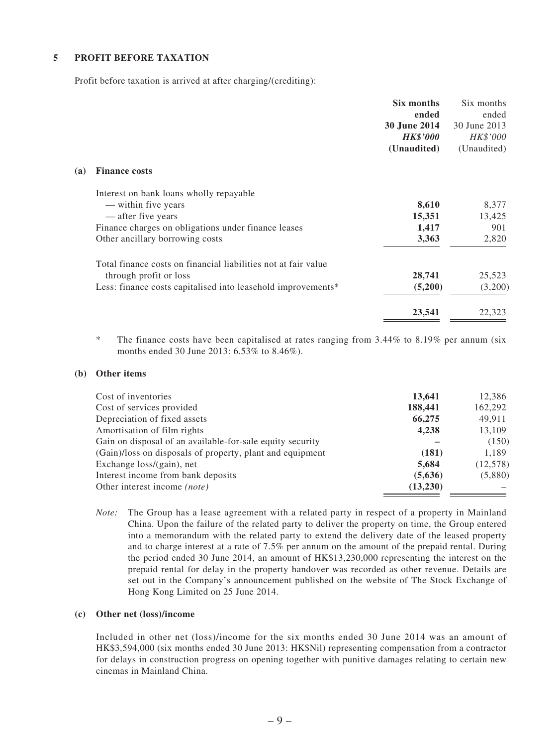#### **5 PROFIT BEFORE TAXATION**

Profit before taxation is arrived at after charging/(crediting):

|     |                                                                | Six months<br>ended | Six months<br>ended |
|-----|----------------------------------------------------------------|---------------------|---------------------|
|     |                                                                | 30 June 2014        | 30 June 2013        |
|     |                                                                | <b>HK\$'000</b>     | HK\$'000            |
|     |                                                                | (Unaudited)         | (Unaudited)         |
| (a) | <b>Finance costs</b>                                           |                     |                     |
|     | Interest on bank loans wholly repayable                        |                     |                     |
|     | — within five years                                            | 8,610               | 8,377               |
|     | — after five years                                             | 15,351              | 13,425              |
|     | Finance charges on obligations under finance leases            | 1,417               | 901                 |
|     | Other ancillary borrowing costs                                | 3,363               | 2,820               |
|     | Total finance costs on financial liabilities not at fair value |                     |                     |
|     | through profit or loss                                         | 28,741              | 25,523              |
|     | Less: finance costs capitalised into leasehold improvements*   | (5,200)             | (3,200)             |
|     |                                                                | 23,541              | 22,323              |

\* The finance costs have been capitalised at rates ranging from 3.44% to 8.19% per annum (six months ended 30 June 2013: 6.53% to 8.46%).

#### **(b) Other items**

| Cost of inventories                                       | 13,641   | 12,386    |
|-----------------------------------------------------------|----------|-----------|
| Cost of services provided                                 | 188,441  | 162,292   |
| Depreciation of fixed assets                              | 66,275   | 49,911    |
| Amortisation of film rights                               | 4,238    | 13,109    |
| Gain on disposal of an available-for-sale equity security |          | (150)     |
| (Gain)/loss on disposals of property, plant and equipment | (181)    | 1,189     |
| Exchange loss/(gain), net                                 | 5,684    | (12, 578) |
| Interest income from bank deposits                        | (5,636)  | (5,880)   |
| Other interest income <i>(note)</i>                       | (13,230) |           |

*Note:* The Group has a lease agreement with a related party in respect of a property in Mainland China. Upon the failure of the related party to deliver the property on time, the Group entered into a memorandum with the related party to extend the delivery date of the leased property and to charge interest at a rate of 7.5% per annum on the amount of the prepaid rental. During the period ended 30 June 2014, an amount of HK\$13,230,000 representing the interest on the prepaid rental for delay in the property handover was recorded as other revenue. Details are set out in the Company's announcement published on the website of The Stock Exchange of Hong Kong Limited on 25 June 2014.

#### **(c) Other net (loss)/income**

Included in other net (loss)/income for the six months ended 30 June 2014 was an amount of HK\$3,594,000 (six months ended 30 June 2013: HK\$Nil) representing compensation from a contractor for delays in construction progress on opening together with punitive damages relating to certain new cinemas in Mainland China.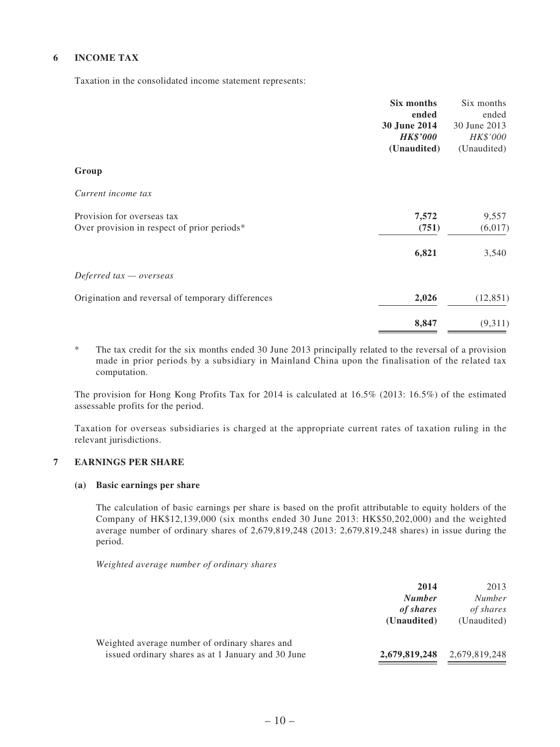#### **6 INCOME TAX**

Taxation in the consolidated income statement represents:

| Six months                                                 | Six months   |
|------------------------------------------------------------|--------------|
| ended                                                      | ended        |
| 30 June 2014                                               | 30 June 2013 |
| <b>HK\$'000</b>                                            | HK\$'000     |
| (Unaudited)                                                | (Unaudited)  |
| Group                                                      |              |
| Current income tax                                         |              |
| 7,572<br>Provision for overseas tax                        | 9,557        |
| (751)<br>Over provision in respect of prior periods*       | (6,017)      |
| 6,821                                                      | 3,540        |
| Deferred $tax -overse$                                     |              |
| 2,026<br>Origination and reversal of temporary differences | (12, 851)    |
| 8,847                                                      | (9,311)      |

\* The tax credit for the six months ended 30 June 2013 principally related to the reversal of a provision made in prior periods by a subsidiary in Mainland China upon the finalisation of the related tax computation.

The provision for Hong Kong Profits Tax for 2014 is calculated at 16.5% (2013: 16.5%) of the estimated assessable profits for the period.

Taxation for overseas subsidiaries is charged at the appropriate current rates of taxation ruling in the relevant jurisdictions.

#### **7 EARNINGS PER SHARE**

#### **(a) Basic earnings per share**

The calculation of basic earnings per share is based on the profit attributable to equity holders of the Company of HK\$12,139,000 (six months ended 30 June 2013: HK\$50,202,000) and the weighted average number of ordinary shares of 2,679,819,248 (2013: 2,679,819,248 shares) in issue during the period.

*Weighted average number of ordinary shares*

|                                                                                                      | 2014<br><b>Number</b><br>of shares<br>(Unaudited) | 2013<br><b>Number</b><br>of shares<br>(Unaudited) |
|------------------------------------------------------------------------------------------------------|---------------------------------------------------|---------------------------------------------------|
| Weighted average number of ordinary shares and<br>issued ordinary shares as at 1 January and 30 June | 2,679,819,248                                     | 2,679,819,248                                     |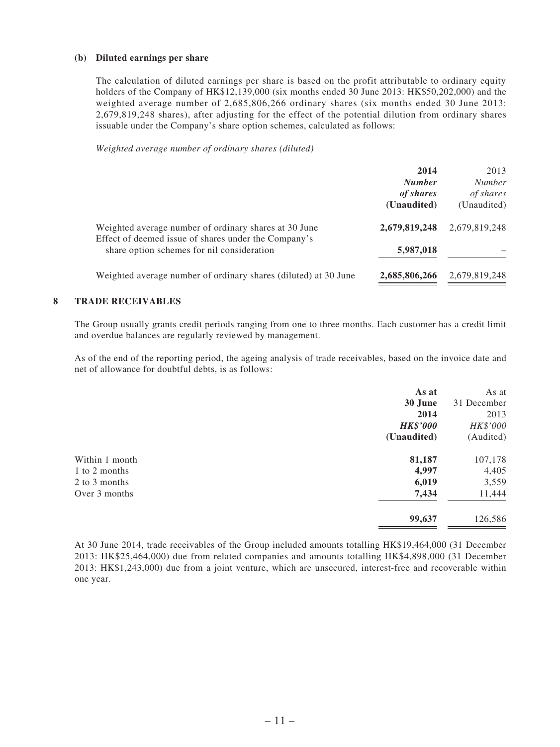#### **(b) Diluted earnings per share**

The calculation of diluted earnings per share is based on the profit attributable to ordinary equity holders of the Company of HK\$12,139,000 (six months ended 30 June 2013: HK\$50,202,000) and the weighted average number of 2,685,806,266 ordinary shares (six months ended 30 June 2013: 2,679,819,248 shares), after adjusting for the effect of the potential dilution from ordinary shares issuable under the Company's share option schemes, calculated as follows:

*Weighted average number of ordinary shares (diluted)*

|                                                                                                    | 2014<br><b>Number</b><br>of shares<br>(Unaudited) | 2013<br><b>Number</b><br>of shares<br>(Unaudited) |
|----------------------------------------------------------------------------------------------------|---------------------------------------------------|---------------------------------------------------|
| Weighted average number of ordinary shares at 30 June                                              | 2,679,819,248                                     | 2,679,819,248                                     |
| Effect of deemed issue of shares under the Company's<br>share option schemes for nil consideration | 5,987,018                                         |                                                   |
| Weighted average number of ordinary shares (diluted) at 30 June                                    | 2,685,806,266                                     | 2,679,819,248                                     |

#### **8 TRADE RECEIVABLES**

The Group usually grants credit periods ranging from one to three months. Each customer has a credit limit and overdue balances are regularly reviewed by management.

As of the end of the reporting period, the ageing analysis of trade receivables, based on the invoice date and net of allowance for doubtful debts, is as follows:

| As at           | As at       |
|-----------------|-------------|
| 30 June         | 31 December |
| 2014            | 2013        |
| <b>HK\$'000</b> | HK\$'000    |
| (Unaudited)     | (Audited)   |
|                 | 107,178     |
| 4,997           | 4,405       |
| 6,019           | 3,559       |
| 7,434           | 11,444      |
| 99,637          | 126,586     |
|                 | 81,187      |

At 30 June 2014, trade receivables of the Group included amounts totalling HK\$19,464,000 (31 December 2013: HK\$25,464,000) due from related companies and amounts totalling HK\$4,898,000 (31 December 2013: HK\$1,243,000) due from a joint venture, which are unsecured, interest-free and recoverable within one year.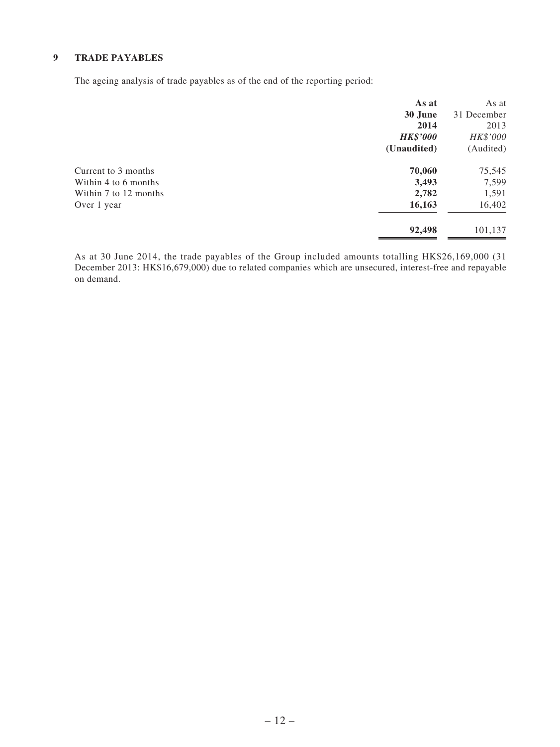#### **9 TRADE PAYABLES**

The ageing analysis of trade payables as of the end of the reporting period:

|                       | As at           | As at       |
|-----------------------|-----------------|-------------|
|                       | 30 June         | 31 December |
|                       | 2014            | 2013        |
|                       | <b>HK\$'000</b> | HK\$'000    |
|                       | (Unaudited)     | (Audited)   |
| Current to 3 months   | 70,060          | 75,545      |
| Within 4 to 6 months  | 3,493           | 7,599       |
| Within 7 to 12 months | 2,782           | 1,591       |
| Over 1 year           | 16,163          | 16,402      |
|                       | 92,498          | 101,137     |

As at 30 June 2014, the trade payables of the Group included amounts totalling HK\$26,169,000 (31 December 2013: HK\$16,679,000) due to related companies which are unsecured, interest-free and repayable on demand.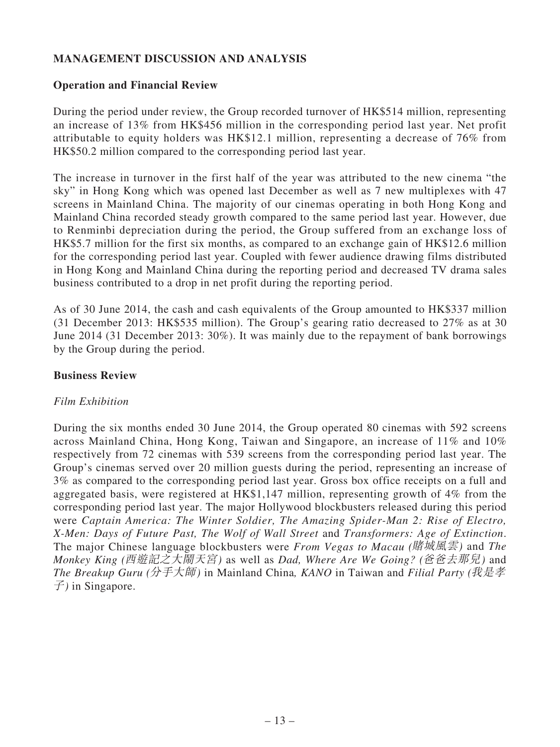# **MANAGEMENT DISCUSSION AND ANALYSIS**

#### **Operation and Financial Review**

During the period under review, the Group recorded turnover of HK\$514 million, representing an increase of 13% from HK\$456 million in the corresponding period last year. Net profit attributable to equity holders was HK\$12.1 million, representing a decrease of 76% from HK\$50.2 million compared to the corresponding period last year.

The increase in turnover in the first half of the year was attributed to the new cinema "the sky" in Hong Kong which was opened last December as well as 7 new multiplexes with 47 screens in Mainland China. The majority of our cinemas operating in both Hong Kong and Mainland China recorded steady growth compared to the same period last year. However, due to Renminbi depreciation during the period, the Group suffered from an exchange loss of HK\$5.7 million for the first six months, as compared to an exchange gain of HK\$12.6 million for the corresponding period last year. Coupled with fewer audience drawing films distributed in Hong Kong and Mainland China during the reporting period and decreased TV drama sales business contributed to a drop in net profit during the reporting period.

As of 30 June 2014, the cash and cash equivalents of the Group amounted to HK\$337 million (31 December 2013: HK\$535 million). The Group's gearing ratio decreased to 27% as at 30 June 2014 (31 December 2013: 30%). It was mainly due to the repayment of bank borrowings by the Group during the period.

### **Business Review**

## *Film Exhibition*

During the six months ended 30 June 2014, the Group operated 80 cinemas with 592 screens across Mainland China, Hong Kong, Taiwan and Singapore, an increase of 11% and 10% respectively from 72 cinemas with 539 screens from the corresponding period last year. The Group's cinemas served over 20 million guests during the period, representing an increase of 3% as compared to the corresponding period last year. Gross box office receipts on a full and aggregated basis, were registered at HK\$1,147 million, representing growth of 4% from the corresponding period last year. The major Hollywood blockbusters released during this period were *Captain America: The Winter Soldier, The Amazing Spider-Man 2: Rise of Electro, X-Men: Days of Future Past, The Wolf of Wall Street* and *Transformers: Age of Extinction*. The major Chinese language blockbusters were *From Vegas to Macau (*賭城風雲*)* and *The Monkey King (*西遊記之大鬧天宮*)* as well as *Dad, Where Are We Going? (*爸爸去那兒*)* and *The Breakup Guru (*分手大師*)* in Mainland China*, KANO* in Taiwan and *Filial Party (*我是孝 子*)* in Singapore.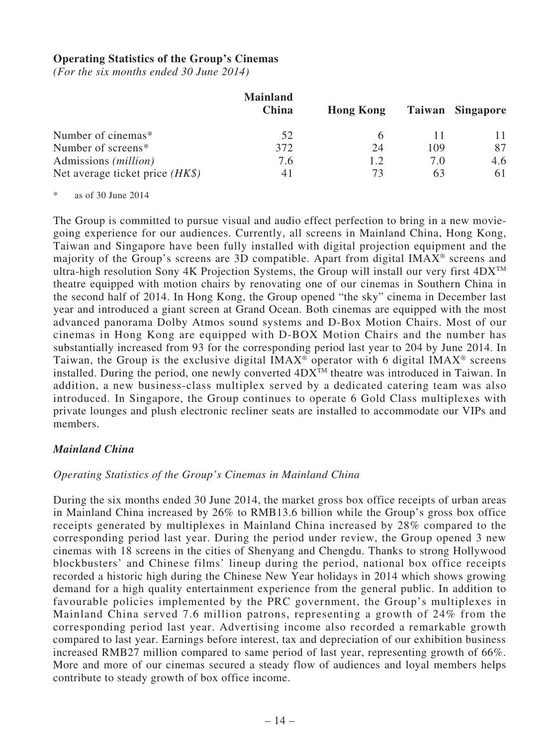#### **Operating Statistics of the Group's Cinemas**

*(For the six months ended 30 June 2014)*

|                                   | <b>Mainland</b><br>China | <b>Hong Kong</b> |     | Taiwan Singapore |
|-----------------------------------|--------------------------|------------------|-----|------------------|
| Number of cinemas*                | 52                       |                  |     |                  |
| Number of screens*                | 372                      | 24               | 109 | 87               |
| Admissions ( <i>million</i> )     | 7.6                      | 1.2.             | 7.0 | 4.6              |
| Net average ticket price $(HK\$ ) | 41                       | 73               | 63  | 61               |

 $*$  as of 30 June 2014

The Group is committed to pursue visual and audio effect perfection to bring in a new moviegoing experience for our audiences. Currently, all screens in Mainland China, Hong Kong, Taiwan and Singapore have been fully installed with digital projection equipment and the majority of the Group's screens are 3D compatible. Apart from digital IMAX® screens and ultra-high resolution Sony 4K Projection Systems, the Group will install our very first  $4DX^{TM}$ theatre equipped with motion chairs by renovating one of our cinemas in Southern China in the second half of 2014. In Hong Kong, the Group opened "the sky" cinema in December last year and introduced a giant screen at Grand Ocean. Both cinemas are equipped with the most advanced panorama Dolby Atmos sound systems and D-Box Motion Chairs. Most of our cinemas in Hong Kong are equipped with D-BOX Motion Chairs and the number has substantially increased from 93 for the corresponding period last year to 204 by June 2014. In Taiwan, the Group is the exclusive digital IMAX<sup>®</sup> operator with 6 digital IMAX<sup>®</sup> screens installed. During the period, one newly converted  $4DX^{TM}$  theatre was introduced in Taiwan. In addition, a new business-class multiplex served by a dedicated catering team was also introduced. In Singapore, the Group continues to operate 6 Gold Class multiplexes with private lounges and plush electronic recliner seats are installed to accommodate our VIPs and members.

#### *Mainland China*

#### *Operating Statistics of the Group's Cinemas in Mainland China*

During the six months ended 30 June 2014, the market gross box office receipts of urban areas in Mainland China increased by 26% to RMB13.6 billion while the Group's gross box office receipts generated by multiplexes in Mainland China increased by 28% compared to the corresponding period last year. During the period under review, the Group opened 3 new cinemas with 18 screens in the cities of Shenyang and Chengdu. Thanks to strong Hollywood blockbusters' and Chinese films' lineup during the period, national box office receipts recorded a historic high during the Chinese New Year holidays in 2014 which shows growing demand for a high quality entertainment experience from the general public. In addition to favourable policies implemented by the PRC government, the Group's multiplexes in Mainland China served 7.6 million patrons, representing a growth of 24% from the corresponding period last year. Advertising income also recorded a remarkable growth compared to last year. Earnings before interest, tax and depreciation of our exhibition business increased RMB27 million compared to same period of last year, representing growth of 66%. More and more of our cinemas secured a steady flow of audiences and loyal members helps contribute to steady growth of box office income.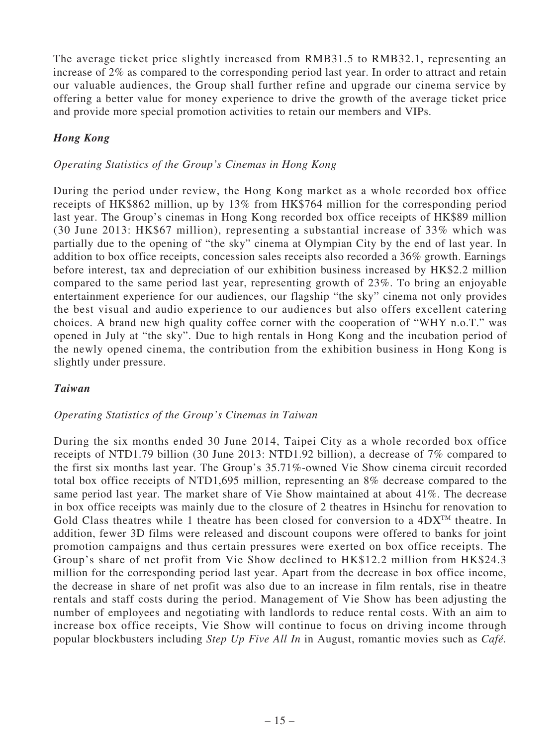The average ticket price slightly increased from RMB31.5 to RMB32.1, representing an increase of 2% as compared to the corresponding period last year. In order to attract and retain our valuable audiences, the Group shall further refine and upgrade our cinema service by offering a better value for money experience to drive the growth of the average ticket price and provide more special promotion activities to retain our members and VIPs.

# *Hong Kong*

## *Operating Statistics of the Group's Cinemas in Hong Kong*

During the period under review, the Hong Kong market as a whole recorded box office receipts of HK\$862 million, up by 13% from HK\$764 million for the corresponding period last year. The Group's cinemas in Hong Kong recorded box office receipts of HK\$89 million (30 June 2013: HK\$67 million), representing a substantial increase of 33% which was partially due to the opening of "the sky" cinema at Olympian City by the end of last year. In addition to box office receipts, concession sales receipts also recorded a 36% growth. Earnings before interest, tax and depreciation of our exhibition business increased by HK\$2.2 million compared to the same period last year, representing growth of 23%. To bring an enjoyable entertainment experience for our audiences, our flagship "the sky" cinema not only provides the best visual and audio experience to our audiences but also offers excellent catering choices. A brand new high quality coffee corner with the cooperation of "WHY n.o.T." was opened in July at "the sky". Due to high rentals in Hong Kong and the incubation period of the newly opened cinema, the contribution from the exhibition business in Hong Kong is slightly under pressure.

## *Taiwan*

## *Operating Statistics of the Group's Cinemas in Taiwan*

During the six months ended 30 June 2014, Taipei City as a whole recorded box office receipts of NTD1.79 billion (30 June 2013: NTD1.92 billion), a decrease of 7% compared to the first six months last year. The Group's 35.71%-owned Vie Show cinema circuit recorded total box office receipts of NTD1,695 million, representing an 8% decrease compared to the same period last year. The market share of Vie Show maintained at about 41%. The decrease in box office receipts was mainly due to the closure of 2 theatres in Hsinchu for renovation to Gold Class theatres while 1 theatre has been closed for conversion to a  $4DX^{TM}$  theatre. In addition, fewer 3D films were released and discount coupons were offered to banks for joint promotion campaigns and thus certain pressures were exerted on box office receipts. The Group's share of net profit from Vie Show declined to HK\$12.2 million from HK\$24.3 million for the corresponding period last year. Apart from the decrease in box office income, the decrease in share of net profit was also due to an increase in film rentals, rise in theatre rentals and staff costs during the period. Management of Vie Show has been adjusting the number of employees and negotiating with landlords to reduce rental costs. With an aim to increase box office receipts, Vie Show will continue to focus on driving income through popular blockbusters including *Step Up Five All In* in August, romantic movies such as *Café.*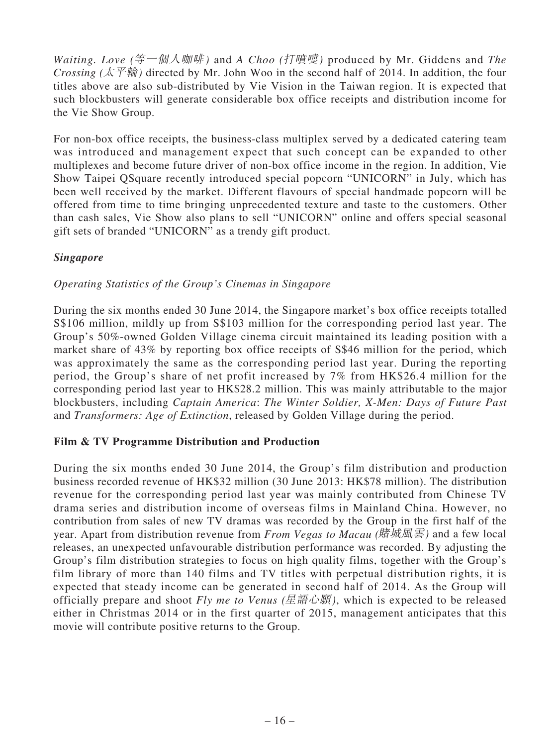*Waiting. Love (*等一個人咖啡*)* and *A Choo (*打噴嚏*)* produced by Mr. Giddens and *The Crossing (* $\overline{\mathcal{K}}$  $\overline{\mathcal{F}}$  $\hat{\mathcal{F}}$ ) directed by Mr. John Woo in the second half of 2014. In addition, the four titles above are also sub-distributed by Vie Vision in the Taiwan region. It is expected that such blockbusters will generate considerable box office receipts and distribution income for the Vie Show Group.

For non-box office receipts, the business-class multiplex served by a dedicated catering team was introduced and management expect that such concept can be expanded to other multiplexes and become future driver of non-box office income in the region. In addition, Vie Show Taipei QSquare recently introduced special popcorn "UNICORN" in July, which has been well received by the market. Different flavours of special handmade popcorn will be offered from time to time bringing unprecedented texture and taste to the customers. Other than cash sales, Vie Show also plans to sell "UNICORN" online and offers special seasonal gift sets of branded "UNICORN" as a trendy gift product.

# *Singapore*

# *Operating Statistics of the Group's Cinemas in Singapore*

During the six months ended 30 June 2014, the Singapore market's box office receipts totalled S\$106 million, mildly up from S\$103 million for the corresponding period last year. The Group's 50%-owned Golden Village cinema circuit maintained its leading position with a market share of 43% by reporting box office receipts of S\$46 million for the period, which was approximately the same as the corresponding period last year. During the reporting period, the Group's share of net profit increased by 7% from HK\$26.4 million for the corresponding period last year to HK\$28.2 million. This was mainly attributable to the major blockbusters, including *Captain America*: *The Winter Soldier, X-Men: Days of Future Past* and *Transformers: Age of Extinction*, released by Golden Village during the period.

## **Film & TV Programme Distribution and Production**

During the six months ended 30 June 2014, the Group's film distribution and production business recorded revenue of HK\$32 million (30 June 2013: HK\$78 million). The distribution revenue for the corresponding period last year was mainly contributed from Chinese TV drama series and distribution income of overseas films in Mainland China. However, no contribution from sales of new TV dramas was recorded by the Group in the first half of the year. Apart from distribution revenue from *From Vegas to Macau (*賭城風雲*)* and a few local releases, an unexpected unfavourable distribution performance was recorded. By adjusting the Group's film distribution strategies to focus on high quality films, together with the Group's film library of more than 140 films and TV titles with perpetual distribution rights, it is expected that steady income can be generated in second half of 2014. As the Group will officially prepare and shoot *Fly me to Venus (*星語心願*)*, which is expected to be released either in Christmas 2014 or in the first quarter of 2015, management anticipates that this movie will contribute positive returns to the Group.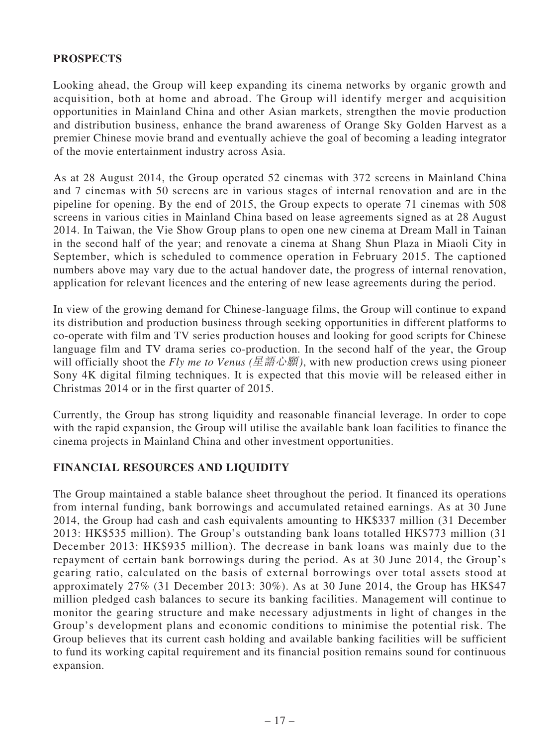## **PROSPECTS**

Looking ahead, the Group will keep expanding its cinema networks by organic growth and acquisition, both at home and abroad. The Group will identify merger and acquisition opportunities in Mainland China and other Asian markets, strengthen the movie production and distribution business, enhance the brand awareness of Orange Sky Golden Harvest as a premier Chinese movie brand and eventually achieve the goal of becoming a leading integrator of the movie entertainment industry across Asia.

As at 28 August 2014, the Group operated 52 cinemas with 372 screens in Mainland China and 7 cinemas with 50 screens are in various stages of internal renovation and are in the pipeline for opening. By the end of 2015, the Group expects to operate 71 cinemas with 508 screens in various cities in Mainland China based on lease agreements signed as at 28 August 2014. In Taiwan, the Vie Show Group plans to open one new cinema at Dream Mall in Tainan in the second half of the year; and renovate a cinema at Shang Shun Plaza in Miaoli City in September, which is scheduled to commence operation in February 2015. The captioned numbers above may vary due to the actual handover date, the progress of internal renovation, application for relevant licences and the entering of new lease agreements during the period.

In view of the growing demand for Chinese-language films, the Group will continue to expand its distribution and production business through seeking opportunities in different platforms to co-operate with film and TV series production houses and looking for good scripts for Chinese language film and TV drama series co-production. In the second half of the year, the Group will officially shoot the *Fly me to Venus (*星語心願*)*, with new production crews using pioneer Sony 4K digital filming techniques. It is expected that this movie will be released either in Christmas 2014 or in the first quarter of 2015.

Currently, the Group has strong liquidity and reasonable financial leverage. In order to cope with the rapid expansion, the Group will utilise the available bank loan facilities to finance the cinema projects in Mainland China and other investment opportunities.

## **FINANCIAL RESOURCES AND LIQUIDITY**

The Group maintained a stable balance sheet throughout the period. It financed its operations from internal funding, bank borrowings and accumulated retained earnings. As at 30 June 2014, the Group had cash and cash equivalents amounting to HK\$337 million (31 December 2013: HK\$535 million). The Group's outstanding bank loans totalled HK\$773 million (31 December 2013: HK\$935 million). The decrease in bank loans was mainly due to the repayment of certain bank borrowings during the period. As at 30 June 2014, the Group's gearing ratio, calculated on the basis of external borrowings over total assets stood at approximately 27% (31 December 2013: 30%). As at 30 June 2014, the Group has HK\$47 million pledged cash balances to secure its banking facilities. Management will continue to monitor the gearing structure and make necessary adjustments in light of changes in the Group's development plans and economic conditions to minimise the potential risk. The Group believes that its current cash holding and available banking facilities will be sufficient to fund its working capital requirement and its financial position remains sound for continuous expansion.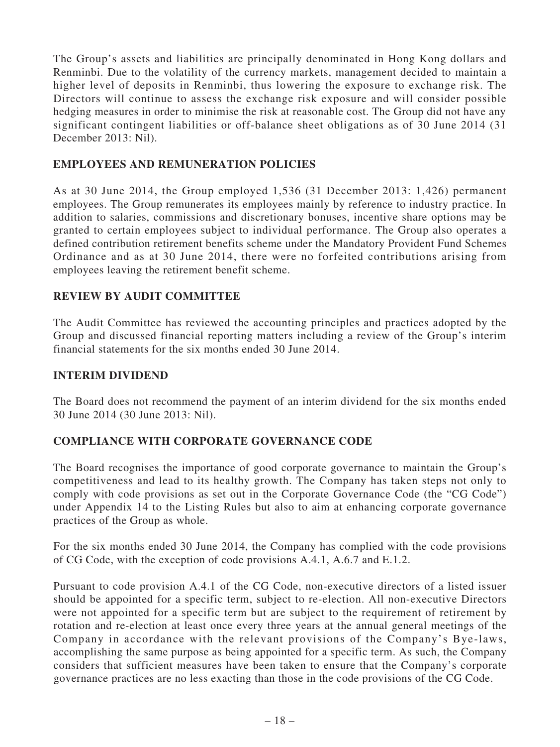The Group's assets and liabilities are principally denominated in Hong Kong dollars and Renminbi. Due to the volatility of the currency markets, management decided to maintain a higher level of deposits in Renminbi, thus lowering the exposure to exchange risk. The Directors will continue to assess the exchange risk exposure and will consider possible hedging measures in order to minimise the risk at reasonable cost. The Group did not have any significant contingent liabilities or off-balance sheet obligations as of 30 June 2014 (31 December 2013: Nil).

## **EMPLOYEES AND REMUNERATION POLICIES**

As at 30 June 2014, the Group employed 1,536 (31 December 2013: 1,426) permanent employees. The Group remunerates its employees mainly by reference to industry practice. In addition to salaries, commissions and discretionary bonuses, incentive share options may be granted to certain employees subject to individual performance. The Group also operates a defined contribution retirement benefits scheme under the Mandatory Provident Fund Schemes Ordinance and as at 30 June 2014, there were no forfeited contributions arising from employees leaving the retirement benefit scheme.

# **REVIEW BY AUDIT COMMITTEE**

The Audit Committee has reviewed the accounting principles and practices adopted by the Group and discussed financial reporting matters including a review of the Group's interim financial statements for the six months ended 30 June 2014.

## **INTERIM DIVIDEND**

The Board does not recommend the payment of an interim dividend for the six months ended 30 June 2014 (30 June 2013: Nil).

## **COMPLIANCE WITH CORPORATE GOVERNANCE CODE**

The Board recognises the importance of good corporate governance to maintain the Group's competitiveness and lead to its healthy growth. The Company has taken steps not only to comply with code provisions as set out in the Corporate Governance Code (the "CG Code") under Appendix 14 to the Listing Rules but also to aim at enhancing corporate governance practices of the Group as whole.

For the six months ended 30 June 2014, the Company has complied with the code provisions of CG Code, with the exception of code provisions A.4.1, A.6.7 and E.1.2.

Pursuant to code provision A.4.1 of the CG Code, non-executive directors of a listed issuer should be appointed for a specific term, subject to re-election. All non-executive Directors were not appointed for a specific term but are subject to the requirement of retirement by rotation and re-election at least once every three years at the annual general meetings of the Company in accordance with the relevant provisions of the Company's Bye-laws, accomplishing the same purpose as being appointed for a specific term. As such, the Company considers that sufficient measures have been taken to ensure that the Company's corporate governance practices are no less exacting than those in the code provisions of the CG Code.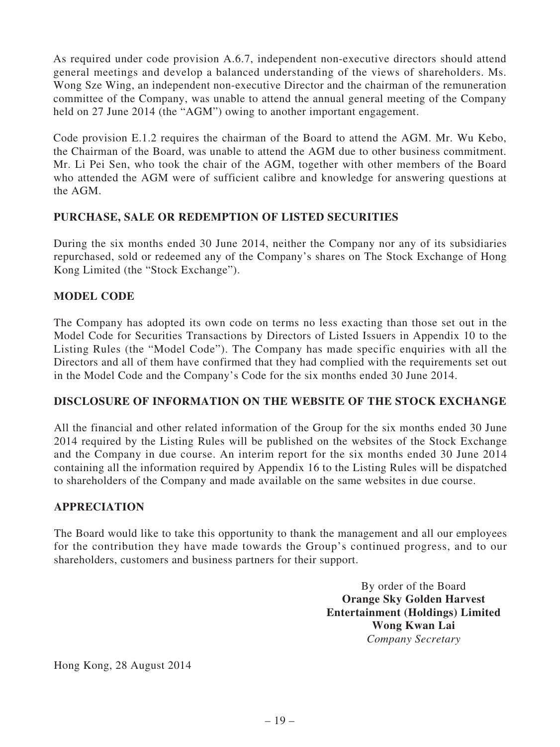As required under code provision A.6.7, independent non-executive directors should attend general meetings and develop a balanced understanding of the views of shareholders. Ms. Wong Sze Wing, an independent non-executive Director and the chairman of the remuneration committee of the Company, was unable to attend the annual general meeting of the Company held on 27 June 2014 (the "AGM") owing to another important engagement.

Code provision E.1.2 requires the chairman of the Board to attend the AGM. Mr. Wu Kebo, the Chairman of the Board, was unable to attend the AGM due to other business commitment. Mr. Li Pei Sen, who took the chair of the AGM, together with other members of the Board who attended the AGM were of sufficient calibre and knowledge for answering questions at the AGM.

# **PURCHASE, SALE OR REDEMPTION OF LISTED SECURITIES**

During the six months ended 30 June 2014, neither the Company nor any of its subsidiaries repurchased, sold or redeemed any of the Company's shares on The Stock Exchange of Hong Kong Limited (the "Stock Exchange").

# **MODEL CODE**

The Company has adopted its own code on terms no less exacting than those set out in the Model Code for Securities Transactions by Directors of Listed Issuers in Appendix 10 to the Listing Rules (the "Model Code"). The Company has made specific enquiries with all the Directors and all of them have confirmed that they had complied with the requirements set out in the Model Code and the Company's Code for the six months ended 30 June 2014.

# **DISCLOSURE OF INFORMATION ON THE WEBSITE OF THE STOCK EXCHANGE**

All the financial and other related information of the Group for the six months ended 30 June 2014 required by the Listing Rules will be published on the websites of the Stock Exchange and the Company in due course. An interim report for the six months ended 30 June 2014 containing all the information required by Appendix 16 to the Listing Rules will be dispatched to shareholders of the Company and made available on the same websites in due course.

## **APPRECIATION**

The Board would like to take this opportunity to thank the management and all our employees for the contribution they have made towards the Group's continued progress, and to our shareholders, customers and business partners for their support.

> By order of the Board **Orange Sky Golden Harvest Entertainment (Holdings) Limited Wong Kwan Lai** *Company Secretary*

Hong Kong, 28 August 2014